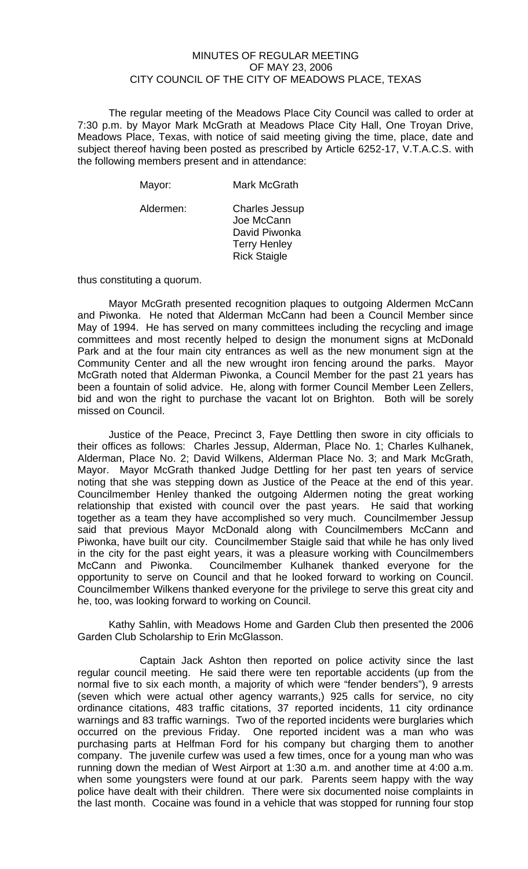## MINUTES OF REGULAR MEETING OF MAY 23, 2006 CITY COUNCIL OF THE CITY OF MEADOWS PLACE, TEXAS

The regular meeting of the Meadows Place City Council was called to order at 7:30 p.m. by Mayor Mark McGrath at Meadows Place City Hall, One Troyan Drive, Meadows Place, Texas, with notice of said meeting giving the time, place, date and subject thereof having been posted as prescribed by Article 6252-17, V.T.A.C.S. with the following members present and in attendance:

| Mayor:    | Mark McGrath                                                                                       |
|-----------|----------------------------------------------------------------------------------------------------|
| Aldermen: | <b>Charles Jessup</b><br>Joe McCann<br>David Piwonka<br><b>Terry Henley</b><br><b>Rick Staigle</b> |

thus constituting a quorum.

 Mayor McGrath presented recognition plaques to outgoing Aldermen McCann and Piwonka. He noted that Alderman McCann had been a Council Member since May of 1994. He has served on many committees including the recycling and image committees and most recently helped to design the monument signs at McDonald Park and at the four main city entrances as well as the new monument sign at the Community Center and all the new wrought iron fencing around the parks. Mayor McGrath noted that Alderman Piwonka, a Council Member for the past 21 years has been a fountain of solid advice. He, along with former Council Member Leen Zellers, bid and won the right to purchase the vacant lot on Brighton. Both will be sorely missed on Council.

 Justice of the Peace, Precinct 3, Faye Dettling then swore in city officials to their offices as follows: Charles Jessup, Alderman, Place No. 1; Charles Kulhanek, Alderman, Place No. 2; David Wilkens, Alderman Place No. 3; and Mark McGrath, Mayor. Mayor McGrath thanked Judge Dettling for her past ten years of service noting that she was stepping down as Justice of the Peace at the end of this year. Councilmember Henley thanked the outgoing Aldermen noting the great working relationship that existed with council over the past years. He said that working together as a team they have accomplished so very much. Councilmember Jessup said that previous Mayor McDonald along with Councilmembers McCann and Piwonka, have built our city. Councilmember Staigle said that while he has only lived in the city for the past eight years, it was a pleasure working with Councilmembers McCann and Piwonka. Councilmember Kulhanek thanked everyone for the opportunity to serve on Council and that he looked forward to working on Council. Councilmember Wilkens thanked everyone for the privilege to serve this great city and he, too, was looking forward to working on Council.

 Kathy Sahlin, with Meadows Home and Garden Club then presented the 2006 Garden Club Scholarship to Erin McGlasson.

 Captain Jack Ashton then reported on police activity since the last regular council meeting. He said there were ten reportable accidents (up from the normal five to six each month, a majority of which were "fender benders"), 9 arrests (seven which were actual other agency warrants,) 925 calls for service, no city ordinance citations, 483 traffic citations, 37 reported incidents, 11 city ordinance warnings and 83 traffic warnings. Two of the reported incidents were burglaries which occurred on the previous Friday. One reported incident was a man who was purchasing parts at Helfman Ford for his company but charging them to another company. The juvenile curfew was used a few times, once for a young man who was running down the median of West Airport at 1:30 a.m. and another time at 4:00 a.m. when some youngsters were found at our park. Parents seem happy with the way police have dealt with their children. There were six documented noise complaints in the last month. Cocaine was found in a vehicle that was stopped for running four stop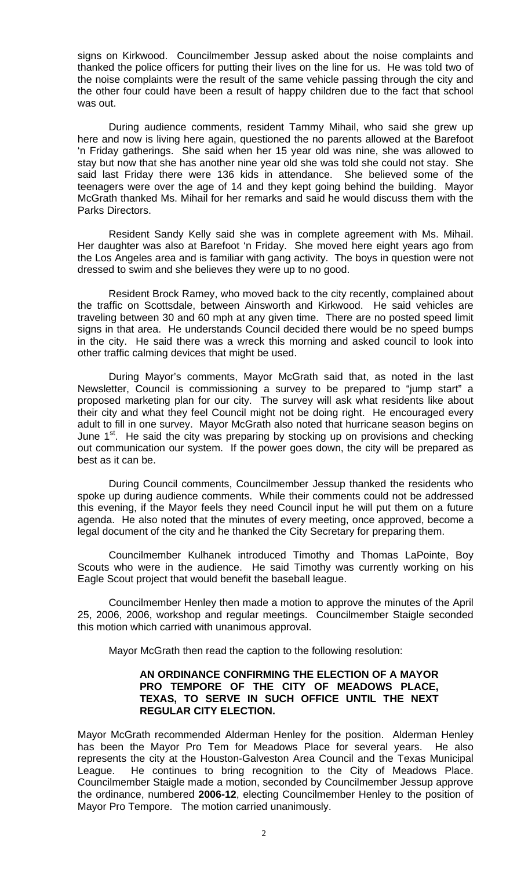signs on Kirkwood. Councilmember Jessup asked about the noise complaints and thanked the police officers for putting their lives on the line for us. He was told two of the noise complaints were the result of the same vehicle passing through the city and the other four could have been a result of happy children due to the fact that school was out.

 During audience comments, resident Tammy Mihail, who said she grew up here and now is living here again, questioned the no parents allowed at the Barefoot 'n Friday gatherings. She said when her 15 year old was nine, she was allowed to stay but now that she has another nine year old she was told she could not stay. She said last Friday there were 136 kids in attendance. She believed some of the teenagers were over the age of 14 and they kept going behind the building. Mayor McGrath thanked Ms. Mihail for her remarks and said he would discuss them with the Parks Directors.

 Resident Sandy Kelly said she was in complete agreement with Ms. Mihail. Her daughter was also at Barefoot 'n Friday. She moved here eight years ago from the Los Angeles area and is familiar with gang activity. The boys in question were not dressed to swim and she believes they were up to no good.

 Resident Brock Ramey, who moved back to the city recently, complained about the traffic on Scottsdale, between Ainsworth and Kirkwood. He said vehicles are traveling between 30 and 60 mph at any given time. There are no posted speed limit signs in that area. He understands Council decided there would be no speed bumps in the city. He said there was a wreck this morning and asked council to look into other traffic calming devices that might be used.

During Mayor's comments, Mayor McGrath said that, as noted in the last Newsletter, Council is commissioning a survey to be prepared to "jump start" a proposed marketing plan for our city. The survey will ask what residents like about their city and what they feel Council might not be doing right. He encouraged every adult to fill in one survey. Mayor McGrath also noted that hurricane season begins on June  $1<sup>st</sup>$ . He said the city was preparing by stocking up on provisions and checking out communication our system. If the power goes down, the city will be prepared as best as it can be.

During Council comments, Councilmember Jessup thanked the residents who spoke up during audience comments. While their comments could not be addressed this evening, if the Mayor feels they need Council input he will put them on a future agenda. He also noted that the minutes of every meeting, once approved, become a legal document of the city and he thanked the City Secretary for preparing them.

Councilmember Kulhanek introduced Timothy and Thomas LaPointe, Boy Scouts who were in the audience. He said Timothy was currently working on his Eagle Scout project that would benefit the baseball league.

Councilmember Henley then made a motion to approve the minutes of the April 25, 2006, 2006, workshop and regular meetings. Councilmember Staigle seconded this motion which carried with unanimous approval.

Mayor McGrath then read the caption to the following resolution:

## **AN ORDINANCE CONFIRMING THE ELECTION OF A MAYOR PRO TEMPORE OF THE CITY OF MEADOWS PLACE, TEXAS, TO SERVE IN SUCH OFFICE UNTIL THE NEXT REGULAR CITY ELECTION.**

Mayor McGrath recommended Alderman Henley for the position. Alderman Henley has been the Mayor Pro Tem for Meadows Place for several years. He also represents the city at the Houston-Galveston Area Council and the Texas Municipal League. He continues to bring recognition to the City of Meadows Place. Councilmember Staigle made a motion, seconded by Councilmember Jessup approve the ordinance, numbered **2006-12**, electing Councilmember Henley to the position of Mayor Pro Tempore. The motion carried unanimously.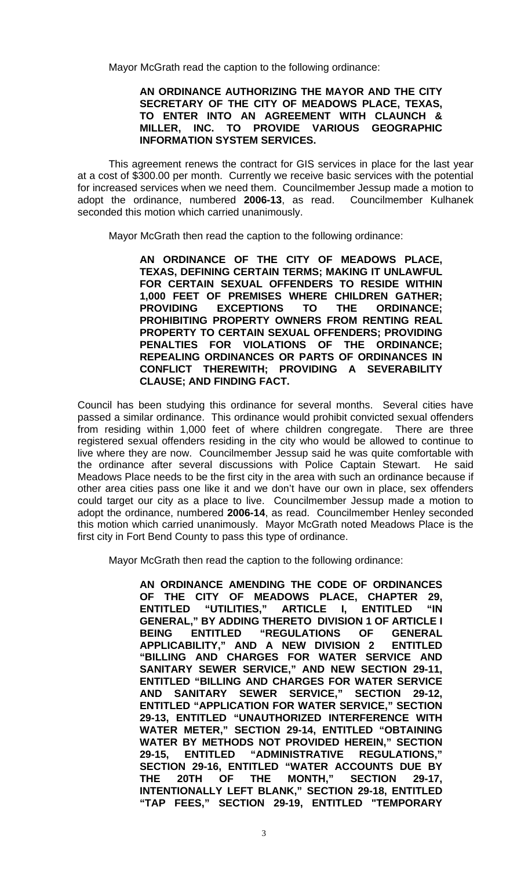Mayor McGrath read the caption to the following ordinance:

## **AN ORDINANCE AUTHORIZING THE MAYOR AND THE CITY SECRETARY OF THE CITY OF MEADOWS PLACE, TEXAS, TO ENTER INTO AN AGREEMENT WITH CLAUNCH & MILLER, INC. TO PROVIDE VARIOUS GEOGRAPHIC INFORMATION SYSTEM SERVICES.**

 This agreement renews the contract for GIS services in place for the last year at a cost of \$300.00 per month. Currently we receive basic services with the potential for increased services when we need them. Councilmember Jessup made a motion to adopt the ordinance, numbered **2006-13**, as read. Councilmember Kulhanek seconded this motion which carried unanimously.

Mayor McGrath then read the caption to the following ordinance:

**AN ORDINANCE OF THE CITY OF MEADOWS PLACE, TEXAS, DEFINING CERTAIN TERMS; MAKING IT UNLAWFUL FOR CERTAIN SEXUAL OFFENDERS TO RESIDE WITHIN 1,000 FEET OF PREMISES WHERE CHILDREN GATHER; PROVIDING EXCEPTIONS TO THE ORDINANCE; PROHIBITING PROPERTY OWNERS FROM RENTING REAL PROPERTY TO CERTAIN SEXUAL OFFENDERS; PROVIDING PENALTIES FOR VIOLATIONS OF THE ORDINANCE; REPEALING ORDINANCES OR PARTS OF ORDINANCES IN CONFLICT THEREWITH; PROVIDING A SEVERABILITY CLAUSE; AND FINDING FACT.** 

Council has been studying this ordinance for several months. Several cities have passed a similar ordinance. This ordinance would prohibit convicted sexual offenders from residing within 1,000 feet of where children congregate. There are three registered sexual offenders residing in the city who would be allowed to continue to live where they are now. Councilmember Jessup said he was quite comfortable with the ordinance after several discussions with Police Captain Stewart. He said Meadows Place needs to be the first city in the area with such an ordinance because if other area cities pass one like it and we don't have our own in place, sex offenders could target our city as a place to live. Councilmember Jessup made a motion to adopt the ordinance, numbered **2006-14**, as read. Councilmember Henley seconded this motion which carried unanimously. Mayor McGrath noted Meadows Place is the first city in Fort Bend County to pass this type of ordinance.

Mayor McGrath then read the caption to the following ordinance:

**AN ORDINANCE AMENDING THE CODE OF ORDINANCES OF THE CITY OF MEADOWS PLACE, CHAPTER 29, ENTITLED "UTILITIES," ARTICLE I, ENTITLED "IN GENERAL," BY ADDING THERETO DIVISION 1 OF ARTICLE I BEING ENTITLED "REGULATIONS OF GENERAL APPLICABILITY," AND A NEW DIVISION 2 ENTITLED "BILLING AND CHARGES FOR WATER SERVICE AND SANITARY SEWER SERVICE," AND NEW SECTION 29-11, ENTITLED "BILLING AND CHARGES FOR WATER SERVICE AND SANITARY SEWER SERVICE," SECTION 29-12, ENTITLED "APPLICATION FOR WATER SERVICE," SECTION 29-13, ENTITLED "UNAUTHORIZED INTERFERENCE WITH WATER METER," SECTION 29-14, ENTITLED "OBTAINING WATER BY METHODS NOT PROVIDED HEREIN," SECTION 29-15, ENTITLED "ADMINISTRATIVE REGULATIONS," SECTION 29-16, ENTITLED "WATER ACCOUNTS DUE BY THE 20TH OF THE MONTH," SECTION 29-17, INTENTIONALLY LEFT BLANK," SECTION 29-18, ENTITLED "TAP FEES," SECTION 29-19, ENTITLED "TEMPORARY**